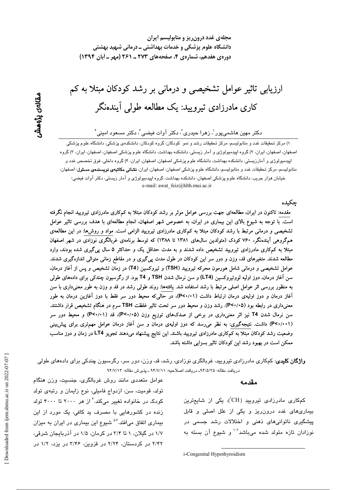ارزیابی تاثیر عوامل تشخیصی و درمانی بر رشد کودکان مبتلا به کم کاری مادرزادی تیرویید: یک مطالعه طولی آیندهنگر

دکتر مهین هاشمیپور<sup>י</sup>، زهرا حیدری<sup>۲</sup>، دکتر آوات فیض*ی*۳ دکتر مسعود امینی<sup>۳</sup>

۱) مرکز تحقیقات غدد و متابولیسم، مرکز تحقیقات رشد و نمو کودکان، گروه کودکان، دانشکدهی پزشکی، دانشگاه علوم پزشکی اصفهان، اصفهان، ایران، ۲) گروه اپیدمیولوژی و آمار زیستی، دانشکده بهداشت، دانشگاه علوم پزشکی اصفهان، اصفهان، ایران، ۳) گروه اپیدمیولوژی و آمارزیستی، دانشکده بهداشت، دانشگاه علوم پزشکی اصفهان، اصفهان، ایران، ۴) گروه داخلی، فوق تخصص غدد و متابولیسم، مرکز تحقیقات غدد و متابولیسم، دانشگاه علوم پزشکی اصفهان، اصفهان، ایران، **نشانی مکاتبهی نویسندهی مسئول**: اصفهان، خیابان هزار جریب، دانشگاه علوم پزشکی اصفهان، دانشکده بهداشت، گروه اپیدمیولوژی و آمار زیستی، دکتر آوات فیضی؛ e-mail: awat feiz@hlth.mui.ac.ir

حكىدە

مقدمه: تاکنون در ایران، مطالعهای جهت بررسی عوامل موثر بر رشد کودکان مبتلا به کمکاری مادرزادی تیرویید انجام نگرفته است. با توجه به شیوع بالای این بیماری در ایران، به خصوص شهر اصفهان، انجام مطالعهای با هدف بررسی تاثیر عوامل تشخیصی و درمانی مرتبط با رشد کودکان مبتلا به کمکاری مادرزادی تیرویید الزامی است. مواد و روش۵ا: در این مطالعهی همگروهی آیندهنگر، ۷۶۰ کودک (متولدین سال0های ۱۳۸۱ تا ۱۳۸۸) که توسط برنامهی غربالگری نوزادی در شهر اصفهان مبتلا به کمکاری مادرزادی تیرویید تشخیص داده شدند و به مدت حداقل یک و حداکثر ۵ سال پیگیری شده بودند، وارد مطالعه شدند. متغیرهای قد، وزن و دور سر این کودکان در طول مدت پیگیری و در مقاطع زمانی متوالی اندازهگیری شدند. عوامل تشخیصی و درمانی شامل هورمون محرکه تیرویید (TSH) و تیروکسین (T4) در زمان تشخیص و پس از آغاز درمان، سن آغاز درمان، دوز اولیه لووتیروکسین (LT4) و سن نرمال شدن TSH و T4 بود. از رگرسیون چندکی برای دادههای طولی به منظور بررسی اثر عوامل اصلی مرتبط با رشد استفاده شد. یافتهها: روند طولی رشد در قد و وزن به طور معنیداری با سن آغاز درمان و دوز اولیهی درمان ارتباط داشت (P<۰/۰۱)، در حالیکه محیط دور سر فقط با دوز آغازین درمان به طور معنیداری در رابطه بود (P<۰/۰۵). رشد وزن و محیط دور سر تحت تاثیر غلظت TSH سرم در هنگام تشخیص قرار داشتند. سن نرمال شدن T4 نیز اثر معنیداری در برخی از صدکهای توزیع وزن (P<۰/۰۵)، قد (P<۰/۰۱) و محیط دور سر (P<۰/۰۰۱) داشت. نتیجهگیری: به نظر می رسد که دوز اولیهی درمان و سن آغاز درمان عوامل مهمتری برای پیشبینی وضعیت رشد کودکان مبتلا به کمکاری مادرزادی تیرویید باشند. این نتایج پیشنهاد میدهند تجویز LT4 در زمان و دوز مناسب ممکن است در بهبود رشد این کودکان تاثیر بسزایی داشته باشد.

**واژگان کلیدی**: کمکاری مادرزادی تیرویید، غربالگری نوزادی، رشد، قد، وزن، دور سر، رگرسیون چندکی برای دادهمای طولی دريافت مقاله: ٩۴/٥/٢٥ـ دريافت اصلاحيه: ٩۴/٧/١١ ـ يذيرش مقاله: ٩۴/٧/١٣

#### مقدمه

کمکاری مادرزادی تیرویید (CH<sup>)</sup>، یکی از شایعترین بیماریهای غدد درون ریز و یکی از علل اصلی و قابل پیشگیری ناتوانیهای ذهنی و اختلالات رشد جسمی در نوزادان تازه متولد شده میباشد<sup>۳-۱</sup> و شیوع آن بسته به

i-Congenital Hypothyroidism

عوامل متعددی مانند روش غربالگری، جنسیت، وزن هنگام تولد، قومیت، سن، ازدواج فامیلی، نوع زایمان و رتبهی تولد کودک در خانواده تغییر میکند. ٔ از هر ۲۰۰۰ تا ۴۰۰۰ تولد زنده در کشورهایی با مصرف ید کافی، یک مورد از این بیماری اتفاق میافتد. <sup>۵٬۶</sup> شیوع این بیماری در ایران به میزان ۱/۷ در گیلان، ۱ تا ۳/۴ در کرمان، ۱/۵ در آذربایجان شرقی، ۲/۴۲ در کردستان، ۲/۲۴ در قزوین، ۳/۴۶ در بزد، ۱/۲ در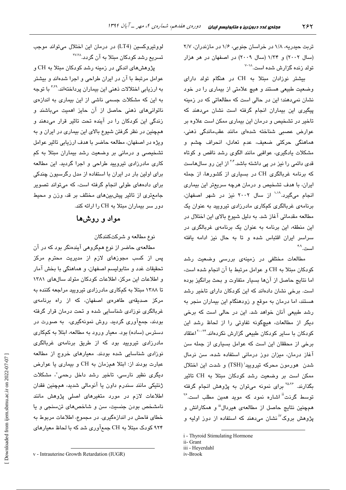تربت حیدریه، ۱/۸ در خراسان جنوبی، ۱/۶ در مازندران، ۲/۷ (سال ۲۰۰۲) و ۱/۳۴ (سال ۲۰۰۹) در اصفهان در هر هزار تو لد زنده گزار ش شده است.<sup>۱۸–۷</sup>

بیشتر نوزادان مبتلا به CH در هنگام تولد دارای وضعیت طبیعی هستند و هیچ علامتی از بیماری را در خود نشان نمے،دھند؛ این در حالے است که مطالعاتی که در زمینه پیگیری این بیماران انجام گرفته است نشان میدهند که تاخیر در تشخیص و درمان این بیماری ممکن است علاوه بر عوارض عصبی شناخته شدهای مانند عقبماندگی ذهنی، هماهنگی حرکتی ضعیف، عدم تعادل، انحراف چشم و مشکلات یادگیری، عواقبی مانند الگوی رشد ناقص و کوتاه ق*دی* دائمی را نیز در یی داشته باشد.<sup>۲۰۴</sup> از این رو سالهاست که برنامه غربالگری CH در بسیاری از کشورها، از جمله ایران، با هدف تشخیص و درمان هرچه سریعتر این بیماری انجام میگرد.<sup>۱٬۱۹</sup> از سال ۲۰۰۲ نیز در شهر اصفهان، برنامهی غربالگری کمکاری مادرزادی تیرویید به عنوان یک مطالعه مقدماتی آغاز شد. به دلیل شیوع بالای این اختلال در این منطقه، این پرنامه به عنوان یک پرنامهی غربالگری در سراسر ایران اقتباس شده و تا به حال نیز ادامه یافته است. ۴۸

مطالعات مختلفی در زمینهی بررسی وضعیت رشد كودكان مبتلا به CH و عوامل مرتبط با آن انجام شده است، اما نتايج حاصل از آنها بسيار متفاوت و بحث برانگيز بوده است. برخی نشان دادهاند که این کودکان دارای تاخیر رشد هستند، اما درمان به موقع و زودهنگام این بیماران منجر به رشد طبیعی آنان خواهد شد. این در حالی است که برخی دیگر از مطالعات، هیچگونه تفاوتی را از لحاظ رشد این کودکان با سایر کودکان طبیعی گزارش نکردهاند.<sup>۲۲-۲۰</sup>اعتقاد برخی از محققان این است که عوامل بسیاری از جمله سن آغاز درمان، میزان دوز درمانی استفاده شده، سن نرمال شدن هورمون محركه تيروييد<sup>:</sup> (TSH) و شدت اين اختلال ممکن است بر وضعیت رشد کودکان مبتلا به CH تاثیر بگذارند. <sup>۲۵،۲۶</sup> برای نمونه میتوان به پژوهش انجام گرفته توسط گرذت<sup>"</sup> اشاره نمود که موید همین مطلب است.<sup>۲۶</sup> همچنین نتایج حاصل از مطالعهی هیردال<sup>ا</sup> و همکارانش و پژوهش بروک<sup>٬i</sup> نشان می،دهند که استفاده از دوز اولیه و

لووتیروکسین (LT4) در درمان این اختلال میتواند موجب تسریع رشد کودکان مبتلا به آن گردد.<sup>۲۷،۲۸</sup>

پژوهشهای اندکی در زمینه رشد کودکان مبتلا به CH و عوامل مرتبط با آن در ایران طراحی و اجرا شدهاند و بیشتر به ارزیابی اختلالات ذهنی این بیماران پرداختهاند.\*\*\* با توجه به این که مشکلات جسمی ناشی از این بیماری به اندازه*ی* ناتوانیهای ذهنی حاصل از آن حایز اهمیت میباشند و زندگی این کودکان را در آینده تحت تاثیر قرار میدهند و همچنین در نظر گرفتن شیوع بالای این بیماری در ایران و به ویژه در اصفهان، مطالعه حاضر با هدف ارزیابی تاثیر عوامل تشخیصی و درمانی بر وضعیت رشد بیماران مبتلا به کم کاری مادرزادی تیرویید طراحی و اجرا گردید. این مطالعه برای اولین بار در ایران با استفاده از مدل رگرسیون چندکی برای دادههای طولی انجام گرفته است، که میتواند تصویر جامع تری از تاثیر پیشبینهای مختلف بر قد، وزن و محیط دور سر بیماران مبتلا به CH را ارائه کند.

### مواد و روشها

نوع مطالعه و شرکتکنندگان

مطالعهی حاضر از نوع همگروهی آیندهنگر بود که در آن پس از کسب مجوزهای لازم از مدیریت محترم مرکز تحقيقات غدد و متابوليسم اصفهان، و هماهنگي با بخش آمار و اطلاعات این مرکز، اطلاعات کودکان متولد سالهای ۱۳۸۱ تا ۱۳۸۸ مبتلا به کمکاری مادرزادی تیرویید مراجعه کننده به مرکز صدیقهی طاهرهی اصفهان، که از راه برنامهی غربالگری نوزادی شناسایی شده و تحت درمان قرار گرفته بودند، جمعآوری گردید. روش نمونهگیری، به صورت در دسترس (ساده) بود. معیار ورود به مطالعه، ابتلا به کمکاری مادرزادی تیرویید بود که از طریق برنامهی غربالگری نوزادی شناسایی شده بودند. معیارهای خروج از مطالعه عبارت بودند از: ابتلا همزمان به CH و بیماری یا عوارض دیگری نظیر نارسی، تاخیر رشد داخل رحمی<sup>"</sup>، مشکلات ژنتیکی مانند سندرم داون یا آنومالی شدید، همچنین فقدان اطلاعات لازم در مورد متغیرهای اصلی پژوهش مانند نامشخص بودن جنسیت، سن و شاخصهای تنسنجی و یا خطای فاحش در اندازهگیری. در مجموع، اطلاعات مربوط به ۹۲۴ کودک مبتلا به CH جمعآوری شد که با لحاظ معیارهای

i - Thyroid Stimulating Hormone

ii- Grant

iii - Heyerdahl

iv-Brook

v - Intrauterine Growth Retardation (IUGR)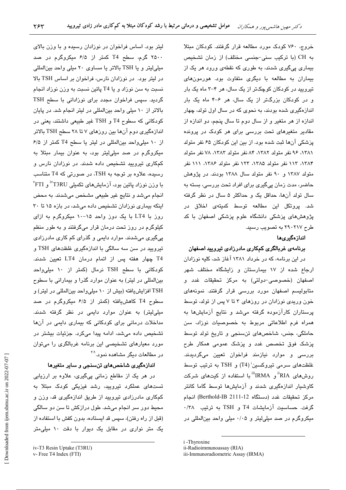خروج، ۷۶۰ کودک مورد مطالعه قرار گرفتند. کودکان مبتلا به CH (با تركيب سنى-جنسى مختلف) از زمان تشخيص بیماری یے گیری شدند، به طوری که نقطهی ورود هر یک از بیماران به مطالعه با دیگری متفاوت بود. هورمونهای تیرویید در کودکان کوچکتر از یک سال، هر ۴–۳ ماه یک بار و در کودکان پزرگتر از یک سال، هر ۶–۴ ماه یک بار اندازهگیری شده بودند، به نحوی که در سال اول تولد، چهار اندازه از هر متغیر و از سال دوم تا سال پنجم، دو اندازه از مقادیر متغیرهای تحت بررسی برای هر کودک در پرونده پزشکی آنها ثبت شده بود. از بین این کودکان ۶۵ نفر متولد ١٣٨١، ٩۶ نفر متولد ١٣٨٢، ٨۴ نفر متولد ١٣٨٣، ٧٨ نفر متولد ١٣٨۴، ١١٣ نفر متولد ١٣٨۵، ١٢٣ نفر متولد ١٣٨۶، ١١١ نفر متولد ۱۳۸۷ و ۹۰ نفر متولد سال ۱۳۸۸ بودند. در پژوهش حاضر، مدت زمان پیگیری برای افراد تحت بررسی، بسته به سال تولد آنها، حداقل یک و حداکثر ۵ سال در نظر گرفته شد. پروتکل این مطالعه توسط کمیتهی اخلاق در پژوهشهای پزشکی دانشگاه علوم پزشکی اصفهان با کد طرح ۲۹۰۲۱۷ به تصویب رسند.

### اندازهگیریها

### برنامهی غربالگری کمکاری مادرزادی تیرویید اصفهان

در این برنامه، که در خرداد ۱۳۸۱ آغاز شد، کلیه نوزادان ارجاع شده از ۱۷ بیمارستان و زایشگاه مختلف شهر اصفهان (خصوص*ی-دو*لتی) به مرکز تحقیقات غدد و متابولیسم اصفهان مورد بررسی قرار گرفتند. نمونههای خون وریدی نوزادان در روزهای ۳ تا ۷ پس از تولد، توسط پرستاران کارآزموده گرفته میشد و نتایج آزمایشها به همراه فرم اطلاعاتی مربوط به خصوصیات نوزاد، سن حاملگی، جنس، شاخصهای تنسنجی و تاریخ تولد توسط پزشک فوق تخصص غدد و پزشک عمومی همکار طرح بررسی و موارد نیازمند فراخوان تعیین میگردیدند. غلظتهای سرمی تیروکسین<sup>:</sup> (T4) و TSH به ترتیب توسط روشهای <sup>ii</sup>RIA و <sup>ii</sup>IRMA با استفاده از کیتهای شرکت کاوشیار اندازهگیری شدند و آزمایشها توسط گاما کانتر مركز تحقيقات غدد (دستگاه Berthold-IB 2111-12) انجام گرفت. حساسیت آزمایشات T4 و TSH به ترتیب ۰/۳۸ میکروگرم در صد میلی لیتر و ۰/۰۵ میلی واحد بین المللی در

i-Thyroxine

لیتر بود. اساس فراخوان در نوزادان رسیده و با وزن بالای ۲۵۰۰ گرم، سطح T4 کمتر از ۶/۵ میکروگرم در صد میلی لیتر و یا TSH بالاتر یا مساوی ۲۰ میلی واحد بین المللی در لیتر بود. در نوزادان نارس، فراخوان بر اساس TSH بالا نسبت به سن نوزاد و یا T4 پائین نسبت به وزن نوزاد انجام گردید. سپس فراخوان مجدد برای نوزادانی با سطح TSH بالاتر از ۱۰ میلی واحد بین المللی در لیتر انجام شد. در پایان کودکانی که سطوح T4 و TSH غیر طبیعی داشتند، یعنی در اندازهگیری دوم آنها بین روزهای ۷ تا ۲۸ سطح TSH بالاتر از ١٠ ميلي واحد بين المللي در ليتر يا سطح T4 كمتر از ۶/۵ میکروگرم در صد میلی لیتر بود، به عنوان بیمار مبتلا به کمکاری تیرویید تشخیص داده شدند. در نورادان نارس و رسیده، علاوه بر توجه به TSH، در صورتی که T4 متناسب با وزن نوزاد پائین بود، آزمایشهای تکمیلی T3RU" و FTI<sup>"</sup> انجام میشد و نتایج غیر طبیعی مشخص می شدند. به محض اینکه بیماری نوزادان تشخیص داده میشد، در بازه ۱۵ تا ۳۰ روز با LT4 با یک دوز واحد ۱۵-۱۰ میکروگرم به ازای کیلوگرم در روز تحت درمان قرار میگرفتند و به طور منظم پیگیری میشدند. موارد دایمی و گذرای کم کاری مادرزادی تیرویید در سن سه سالگی با اندازهگیری غلظتهای TSH و T4 چهار هفته پس از اتمام درمان LT4 تعیین شدند. کودکانی با سطح TSH نرمال (کمتر از ۱۰ میلی واحد بینالمللی در لیتر) به عنوان موارد گذرا و بیمارانی با سطوح TSH افزایش یافته (بیش از ١٠ میلی واحد بین المللی در لیتر) و سطوح T4 کاهشیافته (کمتر از ۶/۵ میکروگرم در صد میلی لیتر) به عنوان موارد دایمی در نظر گرفته شدند. مداخلات درمانی برای کودکانی که بیماری دایمی در آنها تشخیص داده میشد، ادامه پیدا میکرد. جزئیات بیشتر در مورد معیارهای تشخیصی این برنامه غربالگری را میتوان در مطالعات دیگر مشاهده نمود. <sup>۴،۹</sup>

#### اندازهگیری شاخصهای تنسنجی و سایر متغیرها

در هر یک از مقاطع زمانی پیگیری، علاوه بر ارزیابی تستهای عملکرد تیرویید، رشد فیزیکی کودک مبتلا به کمکاری مادرزادی تیرویید از طریق اندازهگیری قد، وزن و محیط دور سر انجام میشد. طول درازکش تا سن دو سالگی (قبل از راه رفتن)، سپس قد ایستاده، بدون کفش با استفاده از یک متر نواری در مقابل یک دیوار با دقت ١٠ میلی متر

ii-Radioimmunoassay (RIA)

iii-Immunoradiometric Assay (IRMA)

iv-T3 Resin Uptake (T3RU)

v- Free T4 Index (FTI)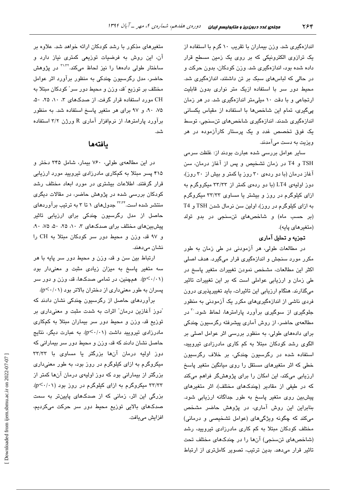اندازهگیری شد. وزن بیماران با تقریب ۱۰ گرم با استفاده از یک ترازوی الکترونیکی که بر روی یک زمین مسطح قرار داده شده بود، اندازهگیری شد. وزن کودکان، بدون حرکت و در حالی که لباس های سبک بر تن داشتند، اندازهگیری شد. محیط دور سر با استفاده ازیک متر نواری بدون قابلیت ارتجاعی و یا دقت ۱۰ میلی متر اندازهگیری شد. در هر زمان پیگیری، تمام این شاخصها با استفاده از مقیاس یکسانی اندازهگیری شدند. اندازهگیری شاخصهای تنسنجی، توسط یک فوق تخصص غدد و یک پرستار کارآزموده در هر ویزیت به دست میآمدند.

سایر عوامل بررسی شده عبارت بودند از: غلظت سرمی TSH و T4 در زمان تشخیص و پس از آغاز درمان، سن آغاز درمان (با دو ردهی ۳۰ روز یا کمتر و بیش از ۳۰ روز)، دوز اولیهی LT4 (با دو ردهی کمتر از ۳۳/۳۳ میکروگرم به ازای کلوگرم در روز و بیشتر با مساوی ۳۳/۳۳ میکروگرم به ازای کیلوگرم در روز)، اولین سن نرمال شدن TSH و T4 (بر حسب ماه) و شاخصهای تنسنجی در بدو تولد (متغررهای یابه).

### تجزیه و تحلیل آماری

در مطالعات طولی، هر آزمودنی در طی زمان به طور مکرر مورد سنجش و اندازهگیری قرار میگیرد. هدف اصلی اکثر این مطالعات، مشخص نمودن تغییرات متغیر پاسخ در طی زمان و ارزیابی عواملی است که بر این تغییرات تاثیر میگذارند. هنگام ارزیابی این تاثیرات، باید تغییرپذیری درون فردی ناشی از اندازهگیریهای مکرر یک آزمودنی به منظور جلوگیری از سوگیری برآورد پارامترها، لحاظ شود<sup>۳۰</sup> در مطالعهی حاضر، از روش آماری پیشرفته رگرسبون چندکی برای دادههای طولی، به منظور بررسی اثر عوامل اصلی بر الگوی رشد کودکان مبتلا به کم کاری مادرزادی تیرویید، استفاده شده در رگرسیون چندکی، بر خلاف رگرسیون خطی که اثر متغیرهای مستقل را روی میانگین متغیر پاسخ ارزیابی میکند، این امکان را برای پژوهشگر فراهم میکند که در طبفی از مقادیر (چندکهای مختلف)، اثر متغیرهای پیشبین روی متغیر پاسخ به طور جداگانه ارزیابی شود. بنابراین این روش آماری، در پژوهش حاضر مشخص میکند که چگونه ویژگیهای (عوامل تشخیصی و درمانی) مختلف کودکان مبتلا به کم کاری مادرزادی تیروییه، رشد (شاخصهای تنسنجی) آنها را در چندکهای مختلف تحت تاثیر قرار می دهد. بدین ترتیب، تصویر کاملتری از ارتباط

متغیرهای مذکور با رشد کودکان ارائه خواهد شد. علاوه بر آن، این روش به فرضیات توزیعی کمتری نیاز دارد و ساختار طولی دادهها را نیز لحاظ میکند.<sup>۳۱،۳۲</sup> در یژوهش حاضر، مدل رگرسیون چندکی به منظور برآورد اثر عوامل مختلف بر توزیع "قد، وزن و محیط دور سر" کودکان مبتلا به CH مورد استفاده قرار گرفت. از صدکهای ۳، ۸۰، ۲۵، ۵۰، ۰۸۵ ۹۰، و ۹۷ برای هر متغیر پاسخ استفاده شد. به منظور برآورد پارامترها، از نرمافزار آماری R ورژن ۲/۲ استفاده شد.

# بافتهها

در این مطالعهی طولی، ۷۶۰ بیمار، شامل ۳۴۵ دختر و ۴۱۵ پسر مبتلا به کمکاری مادرزادی تیرویید مورد ارزیابی قرار گرفتند. اطلاعات بیشتری در مورد ابعاد مختلف رشد کودکان بررسی شده در پژوهش حاضر، در مقالات دیگری منتشر شده است.<sup>۳٬۳۴</sup> جدولهای ۱ تا ۳ به ترتیب برآوردهای حاصل از مدل رگرسیون چندکی برای ارزیابی تاثیر پیش بینهای مختلف برای صدکهای ۳، ۱۰، ۲۵، ۵۰، ۵۰، ۴۵. و ۹۷ قد، وزن و محیط دور سر کودکان مبتلا به CH را نشان می،دهند.

ارتباط بين سن و قد، وزن و محيط دور سر پايه با هر سه متغیر پاسخ به میزان زیادی مثبت و معنیدار بود (p<۰/۰۱). همچنین، در تمامی صدکها، قد، وزن و دور سر پسران به طور معنیداری از دختران بالاتر بود (p<۰/۰۱).

برآوردهای حاصل از رگرسیون چندکی نشان دادند که ّدوز آغازین درمان" اثرات به شدت مثبت و معنیداری بر توزیع قد، وزن و محیط دور سر بیماران مبتلا به کمکاری مادرزادی تیرویید داشت (p<۰/۰۱). به عبارت دیگر، نتایج حاصل نشان دادند که قد، وزن و محیط دور سر بیمارانی که دوز اولیه درمان آنها بزرگتر یا مساوی با ۳۳/۳۳ میکروگرم به ازای کیلوگرم در روز بود، به طور معنیداری بزرگتر از بیمارانی بود که دوز اولیهی درمان آنها کمتر از ۳۳/۳۳ میکروگرم به ازای کیلوگرم در روز بود (p<۰/۰۱). بزرگی این اثر، زمانی که از صدکهای پایینتر به سمت صدکھای بالایی توزیع محیط دور سر حرکت میکردیم، افزايش مي يافت.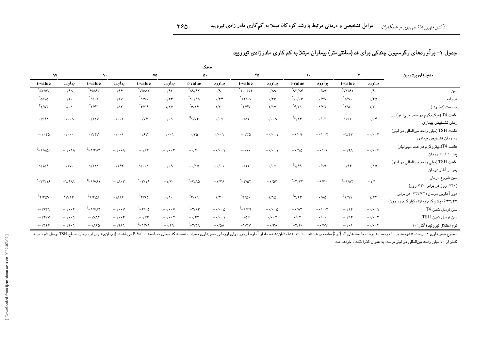|                                                                              |                            |                                    |                           |                                                         |                            |                                   |                            | صدک                                   |                           |                            |                               |                                |                          |                                         |
|------------------------------------------------------------------------------|----------------------------|------------------------------------|---------------------------|---------------------------------------------------------|----------------------------|-----------------------------------|----------------------------|---------------------------------------|---------------------------|----------------------------|-------------------------------|--------------------------------|--------------------------|-----------------------------------------|
| متغیرهای پیش بین                                                             |                            | $\mathbf{v}$                       |                           | $\mathcal{N}$                                           |                            | ٢۵                                |                            | $\ddot{\circ}$                        |                           | ٧۵                         |                               | ٩.                             |                          | $\gamma$                                |
|                                                                              | برآورد                     | t-value                            | برآورد                    | t-value                                                 | برآورد                     | t-value                           | برآورد                     | t-value                               | برآورد                    | t-value                    | برآورد                        | t-value                        | برآورد                   | t-value                                 |
| سن                                                                           | $\cdot/9$ .                | $\sqrt[3]{1/\sqrt{2}}$             | $\cdot/\Lambda$ 9         | $\sqrt[4]{10}$                                          | $\cdot/\Lambda$ ٩          | $\gamma$                          | $\cdot$ /9.                | ۸۹/۹۲*                                | .195                      | *ν۵/۸۲                     | .199                          | $*_{50/F}$                     | .19 <sub>A</sub>         | $\lq{\circ}$ n $\gamma$                 |
| قد پایه                                                                      | $\cdot/\tau$ ٥             | $^*$ ۵/۹.                          | $.7\gamma$                | $\sqrt[*]{\cdot}/\cdot$ ۶                               | .159                       | $\sqrt[*]{11/\cdot}$              | .74                        | $\Lambda^* \setminus \cdot / \Lambda$ | $\cdot/\tau$              | $^*_{\mathcal{N}}$         | .77V                          | $^*\wedge$                     | $\cdot/\tau$ .           | $^*$ ۵/۱۵                               |
| جنسيت (دختر: ۰)                                                              | $\sqrt{\tau}$ .            | $\sqrt[*]{\wedge}$                 | 1/TT                      | $\check{\mathcal{F}}/\check{\mathcal{F}}$               | $\sqrt{V}$                 | $^*$ ۴/۴۷                         | $\sqrt{\tau}$ .            | $^*$ ۶/۱۶                             | $\sqrt{y}$                | $^*$ ۴/۳۶                  | $\cdot/\lambda\mathsf{Y}$     | $^\dagger$ ۲/۴۳                | $\sqrt{\cdot}$           | $\sqrt[{\frac{1}{2}}]{\wedge}$          |
| غلظت T4 (میکروگرم در صد میلیلیتر) در<br>زمان تشخيص بيمارى                    | $\cdot/\cdot$ ۴            | 1/TT                               | $\cdot/\cdot$ ۳           | ۴۲/۱۴                                                   | $\cdot/\cdot\cdot$ 9       | $\cdot/\Lambda\tau$               | $\cdot/\cdot$ $\mathsf{y}$ | $\sqrt[4]{1/\sqrt{r}}$                | $\cdot/\cdot\$            | $\cdot/\sqrt{2}$           | $\cdot/\cdot\cdot\tau$        | $\cdot$ /۲۱۷                   | $\cdot/\cdot\cdot\wedge$ | .779                                    |
| غلظت TSH (میلی واحد بین المللی در لیتر)<br>در زمان تشخیص بیماری              | $-\cdot/\cdot\cdot$ ۴      | $-\frac{1}{\sqrt{2}}$              | $-\cdot/\cdot \cdot \tau$ | $-\gamma/\cdot$ ٩                                       | $-\cdot/\cdot\cdot$        | $-\cdot/\tau\Delta$               | $\cdot/\cdot\cdot$         | $\cdot$ /۴۵                           | $\cdot/\cdot\cdot$        | $\cdot$ / $\approx$        | $\cdot/\cdot\cdot$            | $\cdot$ /۲۴ $V$                | $\cdot/\cdot\cdot$       | $-\cdot/\cdot$ ۴۵                       |
| غلظت T4(میکروگرم در صد میلیلیتر)<br>پس از آغاز درمان                         | $-\cdot/\cdot\cdot$ ۶      | $-\cdot/\tau\Lambda$               | $-\cdot/\cdot \cdot$      | $-\cdot$ /٩۵                                            | $-\cdot/\cdot\cdot$        | $-\cdot/\cdot$                    | $-\cdot/\cdot\cdot$        | $-\cdot/\tau$ .                       | $-\cdot/\cdot\cdot f$     | $-197$                     | $-\cdot/\cdot\cdot\wedge$     | $\sqrt[3]{2}-1/5\lambda$ ۴     | $-\cdot/\cdot\lambda$    | ۶۵۸/۱– <sup>‡</sup>                     |
| غلظت TSH (میلی واحد بین المللی در لیتر)<br>پس از آغاز درمان                  | $\cdot/\gamma$             | .794                               | .19                       | $\sqrt[{\frac{1}{2}}]{\gamma^{\frac{1}{2}}}$            | $\cdot/\cdot$ $\mathsf{y}$ | $\cdot$ /٢٣                       | $-\cdot/\cdot \cdot$       | $-\cdot/\sqrt{2}$                     | $\cdot/\cdot$ ٩           | $\sqrt{\cdot \cdot \cdot}$ | .187                          | $\frac{1}{\sqrt{1}}$           | $\cdot/\gamma$           | 1/109                                   |
| سن شروع درمان<br>$(5.975)$ روز در برابر ۳۰< روز)                             | $-\frac{1}{\sqrt{1}}$      | $\sqrt[{\frac{4}{3}}]{-1}/\Lambda$ | $-\frac{1}{r}$ .          | $\displaystyle\raisebox{0.6ex}{\text{--}}\tau/\tau\tau$ | $-\frac{1}{2}$             | $^*$ – $\tau/\varpi\tau$          | $-\frac{1}{\sqrt{5}}$      | $\mathstrut^*$ –۳/۸۵                  | $-\frac{1}{\tau}$ .       | $-\tau/\gamma$             | $-\cdot/\Lambda\cdot\Upsilon$ | $^{\ddagger}$ -1/V۶1           | $-\frac{1}{9}\lambda$    | $-\tau/\sqrt{2}$                        |
| دوز آغازین درمان (٣٣/٣٣> در برابر<br>۶۳۲/۳۳ میکروگرم به ازاء کیلوگرم در روز) | $1/\tau$ ۴                 | $^{\ddagger}$ $\sqrt{9}$           | $\cdot/\lambda\Delta$     | $^{\dagger}$ ۲/۲۳                                       | 1/10                       | $\sqrt[*]{\gamma/\Delta}$ .       | $\sqrt{\zeta}$ .           | $^*$ ۴/۱۹                             | $\cdot/\cdot$             | $\gamma$                   | .189                          | $\sqrt[3]{2}$                  | 1/V17                    | $\mathsf{r}_{\mathsf{Y}/\mathsf{r}}$ av |
| سن نرمال شدن T4                                                              | $-\cdot/\cdot\cdot\Lambda$ | $-\cdot/\gamma$                    | $-\cdot/\cdot \cdot \tau$ | $-\cdot/\Lambda\Upsilon$                                | $-\cdot/\cdot\cdot\Delta$  | $\sqrt[{\frac{k}{2}}]{-\sqrt{2}}$ | $-\cdot/\cdot\cdot\Delta$  | $^{\dagger}$ -۲/۱۳                    | $-\cdot/\cdot\cdot V$     | ۵ - /۲− ً                  | $-\cdot/\cdot\cdot V$         | $^{\ddagger}$ – 1/VA۴          | $-\cdot/\cdot\cdot$      | $-.1979$                                |
| سن نرمال شدن TSH                                                             | $-\cdot/\cdot\cdot$ ۴      | $-194$                             | $\cdot/\cdot$ .           | $\cdot/\cdot$ ۳                                         | $\cdot/\cdot\cdot\tau$     | .109                              | $-\cdot/\cdot\cdot$        | $- \cdot / \tau \tau$                 | $-\cdot/\cdot \cdot \tau$ | $-188$                     | $-\cdot/\cdot\cdot\tau$       | $-1$ / $V$ $\wedge$ $\Upsilon$ | $-\cdot/\cdot\cdot$      | $ \cdot$ /۲ VV                          |
| نوع اختلال تيروئيد ( <sup>§</sup> گذرا: ۰)                                   | $-\cdot/\cdot\cdot$ ۴      | $-\cdot/\cdot \cdot$               | $ \cdot$ /VV              | $^{\dagger}$ - $\tau/\tau$ .                            | $-\cdot/\tau\wedge$        | $-\frac{1}{\tau V}$               | $-\cdot/\Delta\Lambda$     | †_۲/۴۸                                | $-\cdot$ /۴۹              | $\sqrt[4]{1-\pi}$          | $-1799$                       | $-\cdot/\wedge \tau \Delta$    | $-\cdot/\tau \cdot \chi$ | $- \cdot$ /۴۲۲                          |

|  |  |  | جدول ۱– برآوردهای رگرسیون چندکی برای قد (سانتیمتر) بیماران مبتلا به کم کاری مادرزادی تیرویید |
|--|--|--|----------------------------------------------------------------------------------------------|
|--|--|--|----------------------------------------------------------------------------------------------|

کمتر از ۱۰ میلی واحد بینالمللی در لیتر برسد، به عنوان گذرا قلمداد خواهد شد.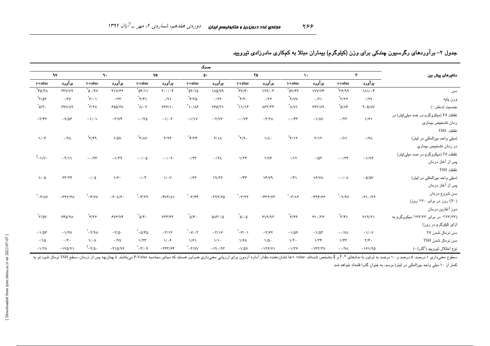|                                                                               |                          |                                                                                                                     |                            |                                                 |                                        |                                                                             | صدک                                      |                                                    |                                              |                                    |                      |                                                                                            |                              |                                            |  |  |  |  |  |  |                 |  |  |  |  |  |  |  |  |  |  |  |  |  |              |                  |
|-------------------------------------------------------------------------------|--------------------------|---------------------------------------------------------------------------------------------------------------------|----------------------------|-------------------------------------------------|----------------------------------------|-----------------------------------------------------------------------------|------------------------------------------|----------------------------------------------------|----------------------------------------------|------------------------------------|----------------------|--------------------------------------------------------------------------------------------|------------------------------|--------------------------------------------|--|--|--|--|--|--|-----------------|--|--|--|--|--|--|--|--|--|--|--|--|--|--------------|------------------|
|                                                                               | $\gamma$                 |                                                                                                                     |                            |                                                 |                                        |                                                                             |                                          |                                                    | <b>Vo</b><br>$\ddot{\mathbf{A}}$<br>$\Delta$ |                                    |                      |                                                                                            |                              |                                            |  |  |  |  |  |  | YQ<br>$\lambda$ |  |  |  |  |  |  |  |  |  |  |  |  |  | $\mathbf{r}$ | متغیرهای پیش بین |
| t-value                                                                       | برآورد                   | t-value                                                                                                             | برآورد                     | t-value                                         | برآورد<br>برآورد<br>t-value<br>t-value | برآورد                                                                      | t-value                                  | برآورد                                             | t-value                                      | برآورد                             |                      |                                                                                            |                              |                                            |  |  |  |  |  |  |                 |  |  |  |  |  |  |  |  |  |  |  |  |  |              |                  |
| $^*$ ۴۵/۳۸                                                                    | <b>YTV/VY</b>            | $\mathring{\hbox{O}}\cdot/\mathring{\hbox{O}}\,\mathring{\hbox{O}}$                                                 | Y1V/FY                     | $\sqrt[3]{25}$                                  | $Y \cdot \cdot / \cdot Y$              | $\gamma$                                                                    | <b>110/V9</b>                            | $\sqrt[*]{\mathfrak{F} \mathsf{V}/\mathfrak{f}}$ . | $1V9/\cdot 7$                                | $^*$ 09/۴۳                         | <b>IVV/V۴</b>        | $P P \gamma$                                                                               | $\lambda \lambda / \cdot$ ۴  | سن                                         |  |  |  |  |  |  |                 |  |  |  |  |  |  |  |  |  |  |  |  |  |              |                  |
| ۶۵۶/۲                                                                         | $\cdot$ /۲V              | $^*$ ۳/۰۱                                                                                                           | .777                       | $*\gamma/\gamma$                                | .71                                    | $*\gamma\gamma\circ$                                                        | .777                                     | $\sqrt[*]{\mathbf{r}}$ .                           | .777                                         | $\sqrt[*]{\mathsf{r}'\mathsf{r}'}$ | .71                  | $\mathbf{r}/\mathbf{r}^*$                                                                  | .79                          | وزن پايه                                   |  |  |  |  |  |  |                 |  |  |  |  |  |  |  |  |  |  |  |  |  |              |                  |
| $^*$ ۵/۳.                                                                     | V9V/A9                   | $\hat{\mathcal{F}}/\mathbf{Y}\wedge$                                                                                | 500/F                      | $\sqrt[*]{\wedge/\cdot \curlyvee}$              | $VYF/\Upsilon$                         | $\sqrt[*]{\cdot}/\lambda^{\epsilon}$                                        | VFA/Y                                    | $\sqrt[3]{11/2}$                                   | $\Lambda$ ۶۲/۳۳                              | N/V                                | V47/A9               | $\mathring{\phantom{a}}\mathring{\phantom{a}}\mathring{\phantom{a}}\mathring{\phantom{a}}$ | 9.0/N                        | جنسیت (دختر: ۰)                            |  |  |  |  |  |  |                 |  |  |  |  |  |  |  |  |  |  |  |  |  |              |                  |
| $-\tau/\tau\tau$                                                              | $-V/\Delta P$            | $-\sqrt{\cdot}$                                                                                                     | $-\tau/\nu$ ۹              | $-170$                                          | $-\sqrt{\cdot 7}$                      | $-\frac{1}{\sqrt{V}}$                                                       | $-Y/VT$                                  | $ \cdot$ / $\vee \check{r}$                        | $-Y/Y\wedge$                                 | $-\cdot$ /۴۳                       | $-\frac{1}{\Lambda}$ | $\cdot/\tau\tau$                                                                           | 1/F1                         | غلظت T4 (میکروگرم در صد میلیلیتر) در       |  |  |  |  |  |  |                 |  |  |  |  |  |  |  |  |  |  |  |  |  |              |                  |
|                                                                               |                          |                                                                                                                     |                            |                                                 |                                        |                                                                             |                                          |                                                    |                                              |                                    |                      |                                                                                            |                              | زمان تشخيص بيمارى                          |  |  |  |  |  |  |                 |  |  |  |  |  |  |  |  |  |  |  |  |  |              |                  |
|                                                                               |                          |                                                                                                                     |                            |                                                 |                                        |                                                                             |                                          |                                                    |                                              |                                    |                      |                                                                                            |                              | TSH غلظت                                   |  |  |  |  |  |  |                 |  |  |  |  |  |  |  |  |  |  |  |  |  |              |                  |
| $\sqrt{\cdot \tau}$                                                           | $\cdot/\mathsf{A}\wedge$ | $^{\dagger}$ ۲/۴۹                                                                                                   | $\frac{1}{2}$              | $\mathbf{\mathsf{r}}/\mathsf{A}\mathsf{v}$      | $Y/Y$ ۶                                | $\mathbf{\hat{r}}/\mathbf{\hat{r}}$                                         | $Y/\lambda$                              | $^*$ ۲/۹.                                          | $\sqrt{\Lambda}$                             | $^{\dagger}$ ۲/۱۲                  | Y/Y                  | $\cdot$ /V $\lambda$                                                                       | .19 <sub>A</sub>             | (میلی واحد بین المللی در لیتر)             |  |  |  |  |  |  |                 |  |  |  |  |  |  |  |  |  |  |  |  |  |              |                  |
|                                                                               |                          |                                                                                                                     |                            |                                                 |                                        |                                                                             |                                          |                                                    |                                              |                                    |                      |                                                                                            |                              | در زمان تشخیص بیماری                       |  |  |  |  |  |  |                 |  |  |  |  |  |  |  |  |  |  |  |  |  |              |                  |
| $\sqrt[{\frac{1}{2}}]{-1}$                                                    | $-\frac{1}{\sqrt{}}$     | $-195$                                                                                                              | $-\frac{1}{\tau}$          | $-\cdot/\cdot \Delta$                           | $-\cdot/\cdot$ ٩                       | .777                                                                        | $\cdot$ /۲ $\wedge$                      | 1/77                                               | $\sqrt{V}$                                   | $\cdot/\gamma$                     | $\cdot$ /۵۲          | $-174$                                                                                     | $-\frac{1}{\sqrt{2}}$        | غلظت T4 (میکروگرم در صد میلیلیتر)          |  |  |  |  |  |  |                 |  |  |  |  |  |  |  |  |  |  |  |  |  |              |                  |
|                                                                               |                          |                                                                                                                     |                            |                                                 |                                        |                                                                             |                                          |                                                    |                                              |                                    |                      |                                                                                            |                              | پس از آغاز درمان                           |  |  |  |  |  |  |                 |  |  |  |  |  |  |  |  |  |  |  |  |  |              |                  |
|                                                                               |                          |                                                                                                                     |                            |                                                 |                                        |                                                                             |                                          |                                                    |                                              |                                    |                      |                                                                                            |                              | TSH غلظت                                   |  |  |  |  |  |  |                 |  |  |  |  |  |  |  |  |  |  |  |  |  |              |                  |
| $\sqrt{6}$                                                                    | 54/79                    | $\cdot/\cdot \vartriangle$                                                                                          | $\sqrt{2}$ .               | $\cdot/\cdot$ ۳                                 | $\sqrt{\cdot V}$                       | .77                                                                         | 19/97                                    | $\cdot$ /۴۴                                        | YY/Y9                                        | $\cdot$ /۴۱                        | $\frac{1}{2}$        | $-\cdot/\cdot \wedge$                                                                      | $-\Delta/\Delta V$           | (میلی واحد بین المللی در لیتر)             |  |  |  |  |  |  |                 |  |  |  |  |  |  |  |  |  |  |  |  |  |              |                  |
|                                                                               |                          |                                                                                                                     |                            |                                                 |                                        |                                                                             |                                          |                                                    |                                              |                                    |                      |                                                                                            |                              | پس از آغاز درمان                           |  |  |  |  |  |  |                 |  |  |  |  |  |  |  |  |  |  |  |  |  |              |                  |
| $\mathstrut^{*}\mathopen{}_{-}\mathstrut\mathopen{}_{\mathsf{Y}/\mathsf{AV}}$ | $-997/8$                 | $\displaystyle \raisebox{0.6ex}{\scriptsize{*}} - \displaystyle \raisebox{0.6ex}{\scriptsize{*}}} \gamma / \nu \nu$ | $-\xi \cdot \Lambda/\xi$ . | $-\mathbf{r}/\mathbf{r}$                        | $-YVY/\Lambda$                         | $\displaystyle\raisebox{0.6ex}{\text{--}}\tau/\tau\tau$                     | $-$ ٣٢٢/۶۵                               | $-\tau/\tau$                                       | $-$ ۴۳۲/۷۳                                   | $-\tau/\gamma$                     | $-494/66$            | $-\tau$ /۹۷                                                                                | $-\frac{\epsilon}{\sqrt{2}}$ | سن شروع درمان                              |  |  |  |  |  |  |                 |  |  |  |  |  |  |  |  |  |  |  |  |  |              |                  |
|                                                                               |                          |                                                                                                                     |                            |                                                 |                                        |                                                                             |                                          |                                                    |                                              |                                    |                      |                                                                                            |                              | (٣٠≥ روز در برابر ٣٠< روز)                 |  |  |  |  |  |  |                 |  |  |  |  |  |  |  |  |  |  |  |  |  |              |                  |
|                                                                               |                          |                                                                                                                     |                            |                                                 |                                        |                                                                             |                                          |                                                    |                                              |                                    |                      |                                                                                            |                              | دوز آغازین درمان                           |  |  |  |  |  |  |                 |  |  |  |  |  |  |  |  |  |  |  |  |  |              |                  |
| $\mathbf{\dot{r}}/\mathbf{\dot{\sigma}}$                                      | $Vf\Delta/\gamma\Lambda$ | $^*$ ۴/۳۶                                                                                                           | FVP/Vf                     | $^*$ ۵/۴.                                       | VTY/Y                                  | $^*$ ۵/۴۰                                                                   | $\Delta \Lambda \Upsilon / \cdot \Delta$ | $^*\mathsf{o}/\!\cdot\mathsf{o}$                   | 819/97                                       | $*\gamma$                          | $51.75$              |                                                                                            | V19/Y1                       | (۳۳/۲۳ - در برابر ۲۳/۲۳ میکروگرم به        |  |  |  |  |  |  |                 |  |  |  |  |  |  |  |  |  |  |  |  |  |              |                  |
|                                                                               |                          |                                                                                                                     |                            |                                                 |                                        |                                                                             |                                          |                                                    |                                              |                                    |                      |                                                                                            |                              | ازای کیلوگرم در روز)                       |  |  |  |  |  |  |                 |  |  |  |  |  |  |  |  |  |  |  |  |  |              |                  |
| $-\frac{1}{2}$                                                                | $-\frac{1}{9}$           | $\Lambda \mathcal{M} \mathcal{N}^{-*}$                                                                              | $-\tau/\Delta$ .           | $\displaystyle{^{*}-\Delta/\mathfrak{r}\Delta}$ | $-\tau/\gamma\tau$                     | $^*$ –V/ $\cdot$ $\tau$                                                     | $-\tau/\sqrt{2}$                         | $^*$ -۴/ $\cdot$                                   | $-\gamma$ /۶۲                                | $-1/09$                            | $-\frac{1}{2}\sigma$ | $-\cdot/\forall\Lambda$                                                                    | $-\sqrt{\cdot V}$            | سن نرمال شدن T4                            |  |  |  |  |  |  |                 |  |  |  |  |  |  |  |  |  |  |  |  |  |              |                  |
| $\cdot/\sqrt{2}$                                                              | $\cdot/\tau$ .           | $\sqrt{\cdot}$                                                                                                      | .19V                       | $1/\tau\tau$                                    | $\sqrt{\cdot}$                         | $\frac{1}{2}$                                                               | $\sqrt{\sqrt{2}}$                        | $\sqrt{2}$                                         | $\sqrt{\Delta}$ .                            | $\sqrt{\tau}$                      | 1/Tf                 | 1/fT                                                                                       | $\mathbf{Y}/\mathbf{Y}$ .    | سن نرمال شدن TSH                           |  |  |  |  |  |  |                 |  |  |  |  |  |  |  |  |  |  |  |  |  |              |                  |
| $-\frac{1}{\pi}$                                                              | $-1VQ/91$                | $^{\dagger}$ - $\tau/\varphi$ .                                                                                     | $-710/99$                  | $^*$ –r/ $\cdot$ ٩                              | $-YYY/FY$                              | $\displaystyle\mathstrut^{*}\mathopen{}_{-}\mathsf{Y}/\mathsf{V}\mathsf{V}$ | $-19.79$                                 | $-\frac{1}{2}$                                     | $-159/V1$                                    | $-\frac{1}{\tau}$                  | $-147/7V$            | $-\cdot/9\Lambda$                                                                          | $-191/90$                    | نوع اختلال تيروييد ( <sup>§</sup> گذرا: ۰) |  |  |  |  |  |  |                 |  |  |  |  |  |  |  |  |  |  |  |  |  |              |                  |

## جدول ۲– برآوردهای رگرسیون چندکی برای وزن (کیلوگرم) بیماران مبتلا به کمکاری مادرزادی تیرویید

سطوح معنیداری ۱ درصد و ۱۰ درصد به ترتیب با نمادهای \*، † و ‡مشخص شدهاند. ult- value ما شاندهنده مقال آماره آزمون برای ارزیابی معنیداری ضرایب هستند که مبنای محاسبه P-Value میباشند. § چنانچه پس از درمان، سطح TSH نرمال شود (و کمتر از ۱۰ میلی واحد بینالمللی در لیتر) برسد، به عنوان گذرا قلمداد خواهد شد.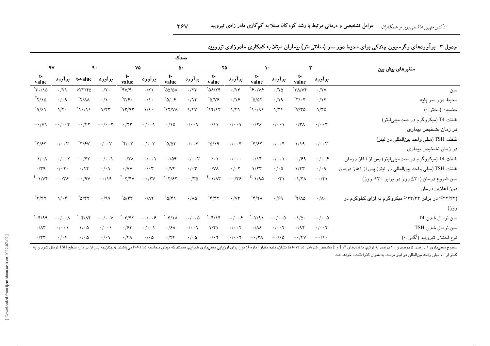|                                     |                              |                                                      |                              |                                                            |                            |                                                                                                          | صدک                               |                                          |                                 |                                                   |                                 |                           |                                 |                                                         |
|-------------------------------------|------------------------------|------------------------------------------------------|------------------------------|------------------------------------------------------------|----------------------------|----------------------------------------------------------------------------------------------------------|-----------------------------------|------------------------------------------|---------------------------------|---------------------------------------------------|---------------------------------|---------------------------|---------------------------------|---------------------------------------------------------|
| $\gamma$                            |                              | $\mathbf{\hat{A}}$                                   |                              |                                                            | ٧۵                         |                                                                                                          | $\Delta \cdot$                    |                                          | ۲۵                              |                                                   | $\lambda$ .                     |                           |                                 | متغیرهای پیش بین                                        |
| $t-$<br>value                       | برآورد                       | t-value                                              | برآورد                       | $t-$<br>value                                              |                            | $t-$<br>$t-$<br>$t-$<br>$t-$<br>برآورد<br>برآورد<br>برآورد<br>برآورد<br>value<br>value<br>value<br>value |                                   | برآورد                                   |                                 |                                                   |                                 |                           |                                 |                                                         |
| $\sqrt{\tau} \cdot / \sqrt{\Delta}$ | $\cdot$ /۲۱                  | $\times \mathbf{r} \mathbf{r}/\mathbf{r} \mathbf{r}$ | $\cdot/\tau$ .               | $^*$ ۴۷/۴۰                                                 | .71                        | $\Delta\omega/\Delta\Lambda$                                                                             | .777                              | 85/77                                    | $\cdot$ /٢۴                     | $*\epsilon$ ./۷۶                                  | .170                            | $^{\ast}$ ۳۸/۷۴           | $\cdot$ /۲۷                     | سن                                                      |
| $^\dagger$ ۲/۱۵                     | . / . q                      | $\gamma/\gamma^*$                                    | $\cdot/\wedge$               | $\tilde{\mathbf{y}}$                                       | $\cdot/\wedge \cdot$       | $^{\ast}$ ۵/۰۶                                                                                           | $\cdot/\gamma$                    | $^*$ ۵/۷۶                                | $\cdot/\sqrt{2}$                | $°o/o \tau$                                       | .119                            | $\mathbf{r}/\mathbf{r}^*$ | $\cdot/\gamma$                  | محيط دور سر پايه                                        |
| $^*$ ٩/۶١                           | $1/\mathfrak{r}$ .           | $\mathcal{N}\setminus\mathcal{N}^*$                  | $1/\mathfrak{r}\mathfrak{r}$ | $\gamma$                                                   | $\sqrt{2}$ .               | $\Lambda$                                                                                                | 1/fV                              | $^*$ \ $\mathsf{Y}/\mathsf{P}\mathsf{Y}$ | $\frac{1}{2}$                   | $^{\ast} \setminus \cdot / \mathcal{A} \setminus$ | $1/\tau$ ۶                      | $\sqrt[3]{10}$            | 1/50                            | جنسيت (دختر:٠)                                          |
| $-1/\sqrt{9}$                       | $-\cdot/\cdot \cdot f$       | $-\cdot$ /۴۲                                         |                              | $\cdot$ /۲۳                                                |                            |                                                                                                          |                                   |                                          |                                 |                                                   | $\cdot/\cdot\cdot$              | $\cdot$ /٣ $\wedge$       | . / 4                           | غلظت T4 (میکروگرم در صد میلیلیتر)                       |
|                                     |                              |                                                      | $-\cdot/\cdot \cdot \tau$    |                                                            | $\cdot/\cdot\cdot$         | $\cdot/\sqrt{2}$                                                                                         | $\cdot/\cdot\cdot\wedge$          | $\cdot/\lambda$                          | $\cdot/\cdot\cdot$              | $\cdot$ /۲۶                                       |                                 |                           |                                 | در زمان تشخیص بیماری                                    |
| $\tilde{\mathbf{r}}$                | $\cdot/\cdot\cdot\tau$       | $\mathbf{r}/\mathbf{r}^*$                            |                              | $^*$ ۴/۰۲                                                  | $\cdot/\cdot\cdot\tau$     | $°\circ$                                                                                                 | $\cdot/\cdot\cdot$ ۴              | $\sqrt[4]{5}$                            | $\cdot/\cdot\cdot$ ۴            | $^*$ ۴/۶۳                                         | $\cdot/\cdot\cdot$ ۴            | 1/19                      | $\cdot/\cdot\cdot\tau$          | غلظت TSH (میلی واحد بین المللی در لیتر)                 |
|                                     |                              |                                                      | $\cdot/\cdot\cdot\tau$       |                                                            |                            |                                                                                                          |                                   |                                          |                                 |                                                   |                                 |                           |                                 | در زمان تشخیص بیماری                                    |
| $-\frac{1}{4}$                      | $-\cdot/\cdot \cdot \tau$    | $-\cdot$ /۴۳                                         | $-\cdot/\cdot\cdot$          | $-\cdot$ /۲ $\wedge$                                       | $-\cdot/\cdot\cdot$        | $-\cdot/\circ$                                                                                           | $-\cdot/\cdot \cdot \tau$         | $\cdot/\cdot \setminus$                  | $\cdot/\cdot\cdot$              | $\cdot/\gamma$                                    | $\cdot/\cdot\cdot$              | $-\cdot$ /۶۹              | $-\cdot/\cdot\cdot$ ۶           | غلظت T4 (میکروگرم در صد میلیلیتر) پس از آغاز درمان      |
| $\cdot$ /۳۹                         | $\cdot/\cdot$ $\cdot$        | $\cdot/\gamma$                                       | $\cdot/\cdot \setminus$      | $\cdot$ /VV                                                | $\cdot/\cdot$ r            | $\cdot/\forall r$                                                                                        | $\cdot/\cdot$ ۳                   | $\cdot$ /VA                              | $\cdot/\cdot$ ٢                 | 1/57                                              | $\cdot/\cdot$ ۵                 | $1/\mathfrak{r}$          | $\cdot/\cdot$ ٩                 | غلظت TSH (ميلي واحد بين لمللي در ليتر) پس از آغاز درمان |
| $\sqrt[4]{-1/\mathsf{V}^4}$         | $-\cdot/\tau$ ۶              | $-\cdot$ /9 $V$                                      | $-\cdot/\sqrt{9}$            | $\mathring{\mathcal{T}} - \mathsf{Y}/\mathsf{Y}\mathsf{V}$ | $-\cdot/\tau$ V            | $^{\ast}-\tau/\mathfrak{F}\tau$                                                                          | $-\cdot$ /٣۵                      | $^{\ddagger}$ - \ / $\wedge$ ۳           | $-\cdot/75$                     | $^{\ddagger}$ -1/90                               | $-\cdot/\mathfrak{r}\setminus$  | $-\frac{1}{\pi}$          | $-\cdot/\mathfrak{r}$           | سن شروع درمان (٣٠ دوز در برابر ٣٠ دوز)                  |
|                                     |                              |                                                      |                              |                                                            |                            |                                                                                                          |                                   |                                          |                                 |                                                   |                                 |                           |                                 | دوز آغازین درمان                                        |
| $*\epsilon/\tau\tau$                | $1/\cdot$ ۴                  | $^*$ ۵/۴۲                                            | $\cdot$ /99                  | $\gamma$                                                   | $\cdot/\wedge\!\!\uparrow$ | *۵/۴۱                                                                                                    | $\cdot$ /<br>$\wedge\vartriangle$ | $^*$ ۴/۴۲                                | $\cdot$ /<br>V٣                 | $*\gamma/\gamma\wedge$                            | $\cdot$ /۶۹                     | $\sqrt[*]{\wedge}\Delta$  | $\cdot/\wedge\cdot$             | (۳۳/۲۳) در برابر ۳۳/۳۳ میکروگرم به ازای کیلوگرم در      |
|                                     |                              |                                                      |                              |                                                            |                            |                                                                                                          |                                   |                                          |                                 |                                                   |                                 |                           |                                 | روز)                                                    |
| 7۹۹–*                               | $-\cdot/\cdot\cdot$ $\wedge$ | $^*$ -۴/۸۴                                           | $-\cdot/\cdot\cdot V$        | $^*$ -۴/۴۲                                                 | $-\cdot/\cdot\cdot$        | *−۴/۱∧                                                                                                   | $-\cdot/\cdot\cdot\Delta$         | $^*$ -۴/۱۴                               | $-\cdot/\cdot\cdot$ ۶           | ٬−۲/۹                                             | $-\cdot/\cdot\cdot\Delta$       | $-\frac{1}{2}$ .          | $-\cdot/\cdot\cdot \Delta$      | سن نرمال شدن T4                                         |
| $\cdot/\wedge\tau$                  | $\cdot/\cdot\cdot$           | $\sqrt{6}$                                           | $\cdot/\cdot\cdot$           | .788                                                       | $\cdot/\cdot\cdot$         | $\cdot$ /۶۸                                                                                              | $\cdot/\cdot\cdot$                | $\frac{1}{2}$                            | $\cdot/\cdot\cdot$ $\mathsf{Y}$ | $\cdot/\Lambda$ ۶                                 | $\cdot/\cdot\cdot$ $\mathsf{Y}$ | $\cdot$ /94               | $\cdot/\cdot\cdot$ $\mathsf{Y}$ | سن نرمال شدن TSH                                        |
| $\cdot$ /۴۳                         | $\cdot/\cdot$ ۶              | $\cdot/\cdot$ ۵                                      | $\cdot/\cdot \wedge$         | $\cdot$ /۴ $\wedge$                                        | $\cdot/\cdot \Delta$       | $\cdot$ /۴۴                                                                                              | $\cdot/\cdot \Delta$              | $\cdot/\cdot$ $\mathsf{Y}$               | $\cdot/\cdot\cdot$ $\mathsf{Y}$ | $-\cdot/\tau$                                     | $-\cdot/\cdot \Delta$           | $-\cdot$ /۴۷              | $-\cdot/\lambda$ .              | نوع اختلال تيروييد ( <sup>§</sup> گذرا: ۰)              |

### جدول ۳– برآوردهای رگرسیون چندکی برای محیط دور سر (سانتیمتر) بیماران مبتلا به کمکاری مادرزادی تیرویید

سطوح معنيداري ١ درصد و ١٠ درصد به ترتيب با نمادهاي \*، † و ‡مشخص شدهاند. value -a نشان دهنده مقلر آماره آزمون براي ارزيابي معنيداري ضرايب هستند كه مبناي محاسبه P-Value ميباشند. § چنانچه پس از درمان، سطح SH نرمال شود و به کمتر از ۱۰ میلی واحد بینالمللی در لیتر برسد، به عنوان گذرا قلمداد خواهد شد.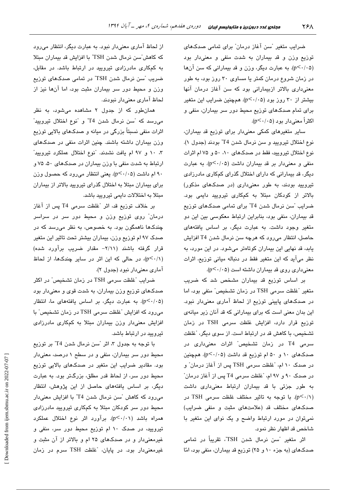ضرایب متغیر "سن آغاز درمان" برای تمامی صدکهای توزیع وزن و قد بیماران به شدت منفی و معنیدار بود (p<٠/٠۵). به عبارت دیگر، وزن و قد بیمارانی که سن آنها در زمان شروع درمان کمتر یا مساوی ۳۰ روز بود، به طور معنیداری بالاتر ازبیمارانی بود که سن آغاز درمان آنها بیشتر از ۳۰ روز بود (p<۰/۰۵). همچنین ضرایب این متغیر برای تمام صدکهای توزیع محیط دور سر بیماران، منفی و اکثراً معنی دار بود (p<۰/۰۵).

سایر متغیرهای کمکی معنیدار برای توزیع قد بیماران، نوع اختلال تيروييد و سن نرمال شدن T4" بودند (جدول ١). نوع اختلال تیرویید، فقط در صدکهای ۰،۱۰ ه و ۷۵ ام اثرات منفی و معنی دار بر قد بیماران داشت (p<۰/۰۵). به عبارت دیگر، قد بیمارانی که دارای اختلال گذرای کمکاری مادرزادی تیرویید بودند، به طور معنیداری (در صدکهای مذکور) بالاتر از کودکان مبتلا به کمکاری تیرویید دایمی بود. ضرایب "سن نرمال شدن T4" برای تمامی صدکهای توزیع قد بیماران، منفی بود، بنابراین ارتباط معکوسی بین این دو متغیر وجود داشت. به عبارت دیگر، بر اساس یافتههای حاصل، انتظار میرود که هرچه سن نرمال شدن T4 افزایش یابد، قد نهایی این بیماران کوتاهتر میشود. در این مورد، به نظر میآید که این متغیر فقط در دنباله میانی توزیع، اثرات معنیداری روی قد بیماران داشته است (p<۰/۰۵).

بر اساس توزیع قد بیماران مشخص شد که ضریب متغیر "غلظت سرمی TSH در زمان تشخیص" منفی بود، اما در صدکهای پایینی توزیع از لحاظ آماری معنیدار نبود. این بدان معنی است که برای بیمارانی که قد آنان زیر میانهی توزیع قرار دارد، افزایش غلظت سرمی TSH در زمان تشخیص، با کاهش قد در ارتباط است. از سوی دیگر، "غلظت سرمی T4 در زمان تشخیص" اثرات معنیداری در صدکهای ۱۰ و ۵۰ ام توزیع قد داشت (p<۰/۰۵). همچنین در صدک ۱۰ ام، "غلظت سرمی TSH پس از آغاز درمان" و در صدک ۹۰ و ۹۷ ام، "غلظت سرمی T4 پس از آغاز درمان" به طور جزئی با قد بیماران ارتباط معنیداری داشت (p<٠/١). با توجه به تاثير مختلف غلظت سرمى TSH در صدکهای مختلف قد (علامتهای مثبت و منفی ضرایب) نمیتوان در مورد ارتباط واضح و یک نوای این متغیر با شاخص قد اظهار نظر نمود.

اثر متغیر "سن نرمال شدن TSH"، تقریباً در تمامی صدکهای (به جزء ١٠ و ٢٥) توزيع قد بيماران، منفي بود، امّا

از لحاظ آماری معنیدار نبود. به عبارت دیگر، انتظار میرود كه كاهش سن نرمال شدن TSH" با افزايش قد بيماران مبتلا به کمکاری مادرزادی تیرویید در ارتباط باشد. در مقابل، ضریب "سن نرمال شدن TSH" در تمامی صدکهای توزیع وزن و محیط دور سر بیماران مثبت بود، اما آنها نیز از لحاظ آماري معنى دار نيو دند.

همانطور که از جدول ۲ مشاهده میشود، به نظر میرسد که "سن نرمال شدن T4" و "نوع اختلال تیرویید" اثرات منفی نسبتاً بزرگی در میانه و صدکهای بالایی توزیع وزن بیماران داشته باشند. چنین اثرات منفی در صدکهای ۰. ۱۰ و ۹۷ ام یافت نشدند. "نوع اختلال عملکرد تیرویید" ارتباط به شدت منفی با وزن بیماران در صدکهای ۵۰، ۷۵ و ۹۰ ام داشت (p<۰/۰۵). یعنی انتظار میرود که حصول وزن برای بیماران مبتلا به اختلال گذرای تیرویید بالاتر از بیماران مبتلا به اختلالات دایمی تیرویید باشد.

بر خلاف توزیع قد، اثر "غلظت سرمی T4 پس از آغاز درمان" روی توزیع وزن و محیط دور سر در سراسر چندکها ناهمگون بود. به خصوص، به نظر میرسد که در صدک ۹۷ ام توزیع وزن، بیماران بیشتر تحت تاثیر این متغیر قرار گرفته باشند (۲/۱۱– مقدار ضریب برآورد شده) (p<·/1)، در حالی که این اثر در سایر چندکها، از لحاظ آماری معنیدار نبود (جدول ۲).

ضرایب "غلظت سرمی TSH در زمان تشخیص" در اکثر صدکهای توزیع وزن بیماران، به شدت قوی و معنیدار بود (p<۰/۰۵). به عبارت دیگر، بر اساس یافتههای ما، انتظار میرود که افزایش "غلظت سرمی TSH در زمان تشخیص" با افزایش معنیدار وزن بیماران مبتلا به کمکاری مادرزادی تیرویید در ارتباط باشد.

با توجه به جدول ۳، اثر "سن نرمال شدن T4" بر توزیع محیط دور سر بیماران، منفی و در سطح ۱ درصد، معنیدار بود. مقادیر ضرایب این متغیر در صدکهای بالایی توزیع محیط دور سر، از لحاظ قدر مطلق، بزرگتر بود. به عبارت دیگر، بر اساس یافتههای حاصل از این پژوهش، انتظار میرود که کاهش "سن نرمال شدن T4" با افزایش معنیدار محیط دور سر کودکان مبتلا به کمکاری تیرویید مادرزادی همراه باشد (p<٠/٠١). برآورد اثر نوع اختلال عملكرد تیروییه، در صدک ۱۰ ام توزیع محیط دور سر، منفی و غیرمعنیدار و در صدکهای ۲۵ ام و بالاتر از آن مثبت و غیرمعنیدار بود. در پایان، تفلظت TSH سرم در زمان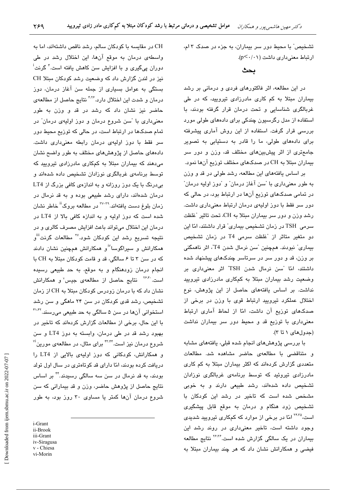تشخیص" با محیط دور سر بیماران، به جزء در صدک ۳ ام، ارتباط معنى دارى داشت (p<٠/٠١).

ىحث

در این مطالعه، اثر فاکتورهای فردی و درمانی بر رشد بیماران مبتلا به کم کاری مادرزادی تیرویید، که در طی غربالگری شناسایی و تحت درمان قرار گرفته بودند، با استفاده از مدل رگرسیون چندکی برای دادههای طولی مورد بررسی قرار گرفت. استفاده از این روش آماری پیشرفته برای دادههای طولی، ما را قادر به دستیابی به تصویر جامعتری از اثر پیشبینهای مختلف قد، وزن و دور سر بیماران مبتلا به CH در صدکهای مختلف توزیع آنها نمود.

بر اساس یافتههای این مطالعه، رشد طولی در قد و وزن به طور معنىدارى با "سن آغاز درمان" و "دوز اوليه درمان" در تمامی صدکهای توزیع آنها در ارتباط بود، در حالی که دور سر فقط با دوز اولیهی درمان ارتباط معنیداری داشت. رشد وزن و دور سر بیماران مبتلا به CH، تحت تاثیر "غلظت سرمی TSH در زمان تشخیص بیماری" قرار داشتند، امّا این دو متغیر متاثر از "غلظت سرمی T4 در زمان تشخیص بيماري" نبودند. همچنين "سن نرمال شدن T4"، اثر ناهمگنی بر وزن، قد و دور سر در سرتاسر چندکهای پیشنهاد شده داشتند، امّا "سن نرمال شدن TSH" اثر معنیداری بر وضعیت رشد بیماران مبتلا به کمکاری مادرزادی تیرویید نداشت. بر اساس یافتههای حاصل از این پژوهش، نوع اختلال عملکرد تیرویید ارتباط قوی با وزن در برخی از صدکهای توزیع آن داشت، امّا از لحاظ آماری ارتباط معنیداری با توزیع قد و محیط دور سر بیماران نداشت (جدول های ١ تا ٣).

با بررسی پژوهشهای انجام شده قبلی، یافتههای مشابه و متناقضی با مطالعهی حاضر مشاهده شد. مطالعات متعددی گزارش کردهاند که اکثر بیماران مبتلا به کم کاری مادرزادی تیروئید که توسط برنامهی غربالگری نوزادان تشخیص داده شدهاند، رشد طبیعی دارند و به خوبی مشخص شده است که تاخیر در رشد این کودکان با تشخیص زود هنگام و درمان به موقع قابل پیشگیری است،<sup>۲۴،۳</sup>۵ امّا در برخی از موارد که کمکاری تیرویید شدی*دی* وجود داشته است، تاخیر معنیداری در روند رشد این بیماران در یک سالگی گزارش شده است.<sup>۲۶،۳۶</sup> نتایج مطالعه فیضی و همکارانش نشان داد که هر چند بیماران مبتلا به

CH در مقایسه با کودکان سالم، رشد ناقص داشتهاند، اما به واسطهی درمان به موقع آنها، این اختلال رشد در طی دوران ییگیری و با افزایش سن کاهش یافته است.<sup>۴</sup> گرنت<sup>ا</sup>ً نیز در لندن گزارش داد که وضعیت رشد کودکان مبتلا CH بستگی به عوامل بسیاری از جمله سن آغاز درمان، دوز درمان و شدت این اختلال دارد.<sup>۴٬۲۶</sup> نتایج حاصل از مطالعهی حاضر نیز نشان داد که رشد در قد و وزن به طور معنیداری با "سن شروع درمان و دوز اولیهی درمان" در تمام صدکها در ارتباط است، در حالی که توزیع محیط دور سر فقط با دوز اولیهی درمان رابطه معنیداری داشت. دادههای حاصل از پژوهشهای مختلف به طور واضح نشان می دهند که بیماران مبتلا به کمکاری مادرزادی تیرویید که توسط برنامهی غربالگری نوزادان تشخیص داده شدهاند و بی درنگ با یک دوز روزانه و به اندازهی کافی بزرگ از LT4 درمان شدهاند، دارای رشد طبیعی بوده و به قد نرمال در زمان بلوغ دست یافتهاند.<sup>۳۹-۳</sup>۰ در مطالعه بروک<sup>ii</sup> خاطر نشان شده است که دوز اولیه و به اندازه کافی بالا از LT4 در درمان این اختلال می تواند باعث افزایش مصرف کالری و در نتیجه تسریع رشد این کودکان شود.<sup>۲۷</sup> مطالعات گرنت<sup>iii</sup>و همکارانش و سیراگوسا<sup>iv</sup>و همکارانش همچنین نشان دادند که در سن ۳ تا ۶ سالگی، قد و قامت کودکان مبتلا به CH با انجام درمان زودهنگام و به موقع، به حد طبیعی رسیده است.<sup>۳۶٬۴۰</sup> نتایج حاصل از مطالعهی جیس<sup>٬</sup> و همکارانش نشان داد که با درمان زودرس کودکان مبتلا به CH از زمان تشخیص، رشد قدی کودکان در سن ۲۴ ماهگی و سن رشد استخوانی آنها در سن ۵ سالگی به حد طبیعی میرسند.<sup>۴۱،۴۲</sup> با این حال، برخی از مطالعات گزارش کردهاند که تاخیر در بهبود رشد قد در طی درمان، وابسته به دوز LT4 و سن شروع درمان نیز است.<sup>۴۲٬۴۴</sup> برای مثال، در مطالعهی مورین <sup>۷i</sup> و همکارانش، کودکانی که دوز اولیهی بالایی از LT4 را دریافت کرده بودند، امّا دارای قد کوتاهتری در سال اول تولد بودند، به قد نرمال در سن سه سالگی رسیدند.<sup>۴۴</sup> بر اساس نتايج حاصل از پژوهش حاضر، وزن و قد بيماراني كه سن شروع درمان آنها کمتر یا مساوی ۳۰ روز بود، به طور

i-Grant ii-Brook iii-Grant iv-Siragusa v - Chiesa vi-Morin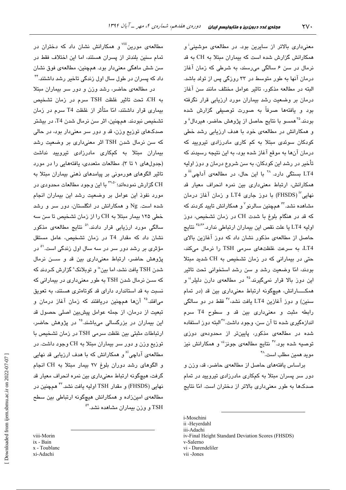مطالعهی مورین<sup>iii </sup>و همکارانش نشان داد که دختران در تمام سنین بلندتر از پسران هستند، اما این اختلاف فقط در سن شش ماهگی معنیدار بود. همچنین، مطالعهی فوق نشان داد که پسران در طول سال اول زندگی تاخیر رشد داشتند.<sup>۴۴</sup>

در مطالعهی حاضر، رشد وزن و دور سر بیماران مبتلا به CH، تحت تاثير غلظت TSH سرم در زمان تشخيص بیماری قرار داشتند، امّا متأثر از غلظت T4 سرم در زمان تشخیص نبودند. همچنین، اثر سن نرمال شدن T4، در بیشتر صدکهای توزیع وزن، قد و دور سر معنے،دار بود، در حالی که سن نرمال شدن TSH اثر معنیداری بر وضعیت رشد بیماران مبتلا به کمکاری مادرزادی تیرویید نداشت (جدول های ۱ تا ۳). مطالعات متعددی، بافتههایی را در مورد تاثیر الگوهای هورمونی بر پیامدهای ذهنی بیماران مبتلا به .<br>CH گزارش نمودهاند؛ <sup>۴۹.۵۰</sup> با این وجود مطالعات محدودی در مورد نفوذ این عوامل پر وضعیت رشد این بیماران انجام شده است. Ng و همکارانش در انگلستان، دور سر و رشد خطی ۱۲۵ بیمار مبتلا به CH را از زمان تشخیص تا سن سه سالگی مورد ارزبانی قرار دادند.<sup>۵</sup> نتایج مطالعهی مذکور نشان داد که مقدار T4 در زمان تشخیص، عامل مستقل مؤثر*ی* بر رشد دور سر در سه سال اول زندگی است.<sup>۵۱</sup> در پژوهش حاضر، ارتباط معنی داری بین قد و ســـن نرمال شدن TSH یافت نشد، اما بین¤ و توبلانک<sup>×</sup> گزارش کـردند که که سـن نرمال شدن TSH به طور معنیداری در بیمارانی که نسبت به قد استاندارد دارای قد کوتاهتری هستند، به تعویق میافتد.<sup>۲۵</sup> آنها همچنین دریافتند که زمان آغاز درمان و ۔<br>تبعیت از درمان، از جمله عوامل پیشبین اصلی حصول قد این بیماران در بزرگسالی میباشند.<sup>۲۵</sup> در پژوهش حاضر، ارتباطات مثبتی بین غلظت سرمی TSH در زمان تشخیص با توزیع وزن و دور سر بیماران مبتلا به CH وجود داشت. در مطالعهی آداچی $^{\rm xi}$ و همکارانش که با هدف ارزیابی قد نهایی و الگوهای رشد دوران بلوغ ۲۷ بیمار مبتلا به CH انجام گرفت، هیچگونه ارتباط معنیداری بین نمره انحراف معیار قد نهايي (FHSDS) و مقدار TSH اوليه يافت نشد.''' همچنين در مطالعهی امینزاده و همکارانش هیچگونه ارتباطی بین سطح TSH و وزن بیماران مشاهده نشد.<sup>۵۲</sup>

viii-Morin ix - Bain x - Toublanc xi-Adachi

معنی،داری بالاتر از سایرین بود. در مطالعهی موشینی<sup>:</sup> و همکارانش گزارش شده است که بیماران مبتلا به CH به قد نرمال در سن ۶ سالگی میرسند، به شرطی که زمان آغاز درمان آنها به طور متوسط در ۳۳ روزگی پس از تولد باشد. البته در مطالعه مذكور، تاثیر عوامل مختلف مانند سن آغاز درمان بر وضعیت رشد بیماران مورد ارزیابی قرار نگرفته بود و یافتهها صرفاً به صورت توصیفی گزارش شده بودند.<sup>۲۵</sup>همسو با نتایج حاصل از پژوهش حاضر، هیردال<sup>ة</sup> و و همکارانش در مطالعهی خود یا هدف ارزیابی رشد خطی کودکان سوئدی مبتلا به کم کاری مادرزادی تیرویید که درمان آنها به موقع آغاز شده بود، به این نتیجه رسیدند که تأخیر در رشد این کودکان، به سن شروع درمان و دورز اولیه LT4 بِستگی دارد. <sup>۲۸</sup> با این حال، در مطالعهی آداچی<sup>iii</sup> و همکارانش، ارتباط معنیداری بین نمره انحراف معیار قد نهایی"آ (FHSDS) یا دور چاری LT4 و زمان آغاز درمان مشاهده نشد. َ<sup>۴۳</sup> هـمچنین سالرنو<sup>۷</sup> و همکارانش تایید کردند که که قد در هنگام بلوغ با شدت CH در زمان تشخیص، دوز اوليه LT4 با علت نقص ابن بيماران ارتباطي ندارد.<sup>46.46</sup> نتايج حاصل از مطالعهی مذکور نشان داد که دوز آغازین بالای LT4، به سرعت غلظتهای سرمی TSH را نرمال میکند، حتی در بیمارانی که در زمان تشخیص به CH شدید مبتلا بودند، امّا وضعیت رشد و سن رشد استخوانی تحت تاثیر این دوز بالا قرار نمیگیرند.<sup>۴۵</sup> در مطالعهی دارن دلیلر<sup>ن</sup>' و همکـــارانش، هیچگونه ارتباط معنیداری بین قد (در تمام سنين) و دوز آغازين LT4 يافت نشد،<sup>۴۷</sup> فقط در دو سالگي رابطه مثبت و معنى دارى بين قد و سطوح T4 سرم اندازهگیری شده تا آن سن، وجود داشت.<sup>۴۷</sup>البته دور استفاده شده در مطالعهی مذکور، پایینتر از محدودهی دوزی توصیه شده بود.<sup>۴۷</sup> نتایج مطالعهی جونز<sup>ü</sup>″ و همکارانش نیز مو بد همین مطلب است.<sup>۴۸</sup>

براساس يافتههاى حاصل از مطالعهى حاضر، قد، وزن و دور سر پسران مبتلا به کمکاری مادرزادی تیرویید در تمام صدکها به طور معنیداری بالاتر از دختران است. امّا نتایج

i-Moschini

- v-Salerno
- vi Darendeliler

ii -Heyerdahl

iii-Adachi

iv-Final Height Standard Deviation Scores (FHSDS)

vii-Jones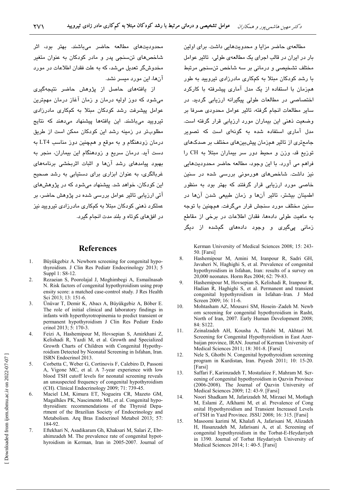محدودیتهای مطالعه حاضر میباشند. بهتر بود، اثر شاخصهای تنسنجی پدر و مادر کودکان به عنوان متغیر مخدوشگر تعدیل می شد، که به علت فقدان اطلاعات در مورد آنها، این مورد میسر نشد.

از یافتههای حاصل از پژوهش حاضر نتیجهگیری میشود که دوز اولیه درمان و زمان آغاز درمان مهمترین عوامل پیشرفت رشد کودکان مبتلا به کمکاری مادرزادی تیرویید میباشند. این یافتهها پیشنهاد میدهند که نتایج مطلوبتر در زمینه رشد این کودکان ممکن است از طریق درمان زودهنگام و به موقع و همچنین دوز مناسب LT4 به دست آید. درمان سریع و زودهنگام این بیماران، منجر به بهبود بیامدهای رشد آنها و اثبات اثریخش*ی* برنامههای غربالگری، به عنوان ابزاری برای دستیابی به رشد صحیح این کو دکان، خواهد شد. پیشنهاد می شود که در پژوهش *ه*ای آتی ارزبانی تاثیر عوامل بررسی شده در پژوهش حاضر، بر عملکرد ذهنی کودکان مبتلا به کمکاری مادرزادی تیرویید نیز در افقهای کوتاه و بلند مدت انجام گیرد.

### **References**

- $\mathbf{1}$ Büyükgebiz A. Newborn screening for congenital hypothyroidism. J Clin Res Pediatr Endocrinology 2013; 5 Suppl 1: S8-12.
- $\overline{2}$ . Rezaeian S, Poorolajal J, Moghimbegi A, Esmailnasab N. Risk factors of congenital hypothyroidism using prop ensity score: a matched case-control study. J Res Health Sci 2013; 13: 151-6.
- $\overline{3}$ . Ünüvar T, Demir K, Abacı A, Büyükgebiz A, Böber E. The role of initial clinical and laboratory findings in infants with hyperthyrotropinemia to predict transient or permanent hypothyroidism J Clin Res Pediatr Endo crinol 2013; 5: 170-3.
- $\overline{4}$ Feizi A, Hashemipour M, Hovsepian S, Amirkhani Z, Kelishadi R, Yazdi M, et al. Growth and Specialized Growth Charts of Children with Congenital Hypothyroidism Detected by Neonatal Screening in Isfahan, Iran. ISRN Endocrinol 2013.
- 5. Corbetta C, Weber G, Cortinovis F, Calebiro D, Passoni A, Vigone MC, et al. A 7-year experience with low blood TSH cutoff levels for neonatal screening reveals an unsuspected frequency of congenital hypothyroidism (CH). Clinical Endocrinology 2009; 71: 739-45.
- $6<sub>1</sub>$ Maciel LM, Kimura ET, Nogueira CR, Mazeto GM, Magalhães PK, Nascimento ML, et al. Congenital hypothyroidism: recommendations of the Thyroid Department of the Brazilian Society of Endocrinology and Metabolism. Ara Bras Endocrinol Metabol 2013: 57: 184-92
- 7. Eftekhari N, Asadikaram Gh, Khaksari M, Salari Z, Ebrahimzadeh M. The prevalence rate of congenital hypothyroidism in Kerman, Iran in 2005-2007. Journal of

مطالعهى حاضر مزايا و محدويتهايي داشت. براي اولين بار در ایران در قالب اجرای یک مطالعهی طولی، تاثیر عوامل مختلف تشخيصي و درماني بر سه شاخص تن سنجي مرتبط با رشد کودکان مبتلا به کمکاری مادرزادی تیرویید به طور همزمان با استفاده از یک مدل آماری پیشرفته با کارکرد اختصاصی در مطالعات طولی بیگیرانه ارزبایی گردید. در سایر مطالعات انجام گرفته، تاثیر عوامل محدودی صرفا بر وضعیت ذهنی این بیماران مورد ارزیابی قرار گرفته است. .<br>مدل آماری استفاده شده به گونهای است که تصویر جامعتری از تاثیر همزمان پیشبینهای مختلف بر صدکهای توزيع قد، وزن و محيط دور سر بيماران مبتلا به CH را فراهم می آورد. یا این وجود، مطالعه حاضر محدودیتهایی نیز داشت. شاخصهای هورمونی بررسی شده در سنین .<br>خاصی مورد ارزیابی قرار گرفتند که بهتر بود به منظور اطمینان بیشتر، تاثیر آنها و زمان طبیعی شدن آنها در سنين مختلف مورد سنجش قرار مي گرفت. همچنين با توجه به ماهیت طولی دادهها، فقدان اطلاعات در برخی از مقاطع زمانی یے،گیری و وجود دادہھای گمشدہ از دیگر

Kerman University of Medical Sciences 2008; 15: 243-50. [Farsi]

- 8. Hashemipour M, Amini M, Iranpour R, Sadri GH, Javaheri N, Haghighi S, et al. Prevalence of congenital hypothyroidism in Isfahan, Iran: results of a survey on 20,000 neonates. Horm Res 2004; 62: 79-83.
- $\mathbf{Q}$ Hashemipour M, Hovsepian S, Kelishadi R, Iranpour R, Hadian R, Haghighi S, et al. Permanent and transient congenital hypothyroidism in Isfahan-Iran. J Med Screen 2009; 16: 11-6.
- 10. Mohtasham AZ, Mousavi SM, Hosein-Zadeh M. Newb orn screening for congenital hypothyroidism in Rasht, North of Iran, 2007. Early Human Development 2008; 84: S122.
- Zeinalzadeh AH, Kousha A, Talebi M, Akhtari M.  $11$ Screening for Congenital Hypothyroidism in East Azerbaijan province, IRAN. Journal of Kerman University of Medical Sciences 2011; 18: 301-8. [Farsi]
- $12.$ Nele S, Ghotbi N. Congenital hypothyroidism screening program in Kurdistan, Iran. Payesh 2011; 10: 15-20. [Farsi]
- 13. Saffari F, Karimzadeh T, Mostafaiee F, Mahram M. Screening of congenital hypothyroidism in Qazvin Province (2006-2008). The Journal of Qazvin University of Medical Sciences 2009; 12: 43-9. [Farsi]
- $14$ Noori Shadkam M, Jafarizadeh M, Mirzaei M, Motlagh M, Eslami Z, Afkhami M, et al. Prevalence of Cong enital Hypothyroidism and Transient Increased Levels of TSH in Yazd Province. JSSU 2008; 16: 315. [Farsi]
- 15. Masoomi karimi M, Khalafi A, Jafarisani M, Alizadeh H, Hasanzadeh M, Jafarisani A, et al. Screening of congenital hypothyroidism in the Torbat-E-Heydariyeh in 1390. Journal of Torbat Heydariyeh University of Medical Sciences 2014; 1: 40-5. [Farsi]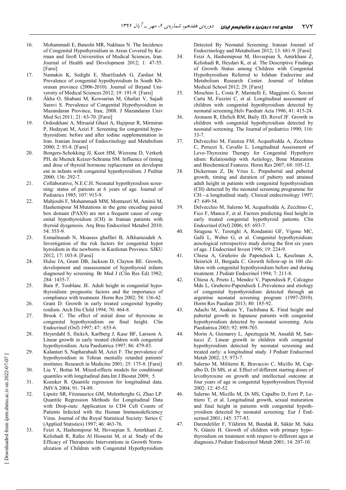- 16. Mohammadi E, Baneshi MR, Nakhaee N. The Incidence of Congenital Hypothyroidism in Areas Covered by Kerman and Jiroft Universities of Medical Sciences, Iran. Journal of Health and Development 2012; 1: 47-55. [Farsi]
- 17. Namakin K, Sedighi E, Sharifzadeh G, Zardast M. Prevalence of congenital hypothyroidism In South Khorasan province (2006-2010). Journal of Birjand University of Medical Sciences 2012; 19: 191-9. [Farsi]
- 18. Âkha O, Shabani M, Kowsarian M, Ghafari V, Sajadi Saravi S. Prevalence of Congenital Hypothyroidism in Mazandaran Province, Iran, 2008. J Mazandaran Univ Med Sci 2011; 21: 63-70. [Farsi]
- 19. Ordoukhani A, Mirsaiid Ghazi A, Hajipour R, Mirmiran P, Hedayati M, Azizi F. Screening for congenital hypothyroidism: before and after iodine supplementation in Iran. Iranian Jouranl of Endocrinology and Metabolism 2000; 2: 93-8. [Farsi]
- 20. Bongers-Schokking JJ, Koot HM, Wiersma D, Verkerk PH, de Muinck Keizer-Schrama SM. Influence of timing and dose of thyroid hormone replacement on developm ent in infants with congenital hypothyroidism. J Peditar 2000; 136: 292-7.
- 21. Collaborative, N.E.C.H. Neonatal hypothyroidism screening: status of patients at 6 years of age. Journal of Pediatrics 1985; 107: 915-9.
- 22. Mahjoubi F, Mohammadi MM, Montazeri M, Aminii M, Hashemipour M.Mutations in the gene encoding paired box domain (PAX8) are not a frequent cause of congenital hypothyroidism (CH) in Iranian patients with thyroid dysgenesis. Arq Bras Endocrinol Metabol 2010; 54: 555-9.
- 23. Esmailnasab N, Moasses ghaffari B, Afkhamzadeh A. Investigation of the risk factors for congenital hypot hyroidism in the newborns in Kurdistan Province. SJKU 2012, 17: 103-8. [Farsi]
- 24. Hulse JA, Grant DB, Jackson D, Clayton BE. Growth, development and reassessment of hypothyroid infants diagnosed by screening. Br Med J (Clin Res Ed) 1982; 284: 1435-7.
- 25. Bain P, Toublanc JE. Adult height in congenital hypothyroidism: prognostic factors and the importance of compliance with treatment. Horm Res 2002; 58: 136-42.
- 26. Grant D. Growth in early treated congenital hypothy roidism. Arch Dis Child 1994; 70: 464-8.
- 27. Brook C. The effect of initial dose of thyroxine in congenital hypothyroidism on final height. Clin Endocrinol (Oxf) 1997; 47: 655-6.
- 28. Heyerdahl S, IlickiA, Karlberg J, Kase BF, Larsson A. Linear growth in early treated children with congenital hypothyroidism. Acta Paediatrica 1997; 86: 479-83.
- 29. Kalantari S, Napharabadi M, Azizi F. The prevalence of hypothyroidism in Tehran mentally retarded patients' institutes. Research in Medicine 2001; 25: 175-8. [Farsi]
- 30. Liu Y, Bottai M. Mixed-effects models for conditional quantiles with longitudinal data.Int J Biostat 2009; 5.
- 31. Koenker R. Quantile regression for longitudinal data. JMVA 2004; 91: 74-89.
- 32. Lipsitz SR, Fitzmaurice GM, Molenberghs G, Zhao LP. Quantile Regression Methods for Longitudinal Data with Drop-outs: Application to CD4 Cell Counts of Patients Infected with the Human Immunodeficiency Virus. Journal of the Royal Statistical Society: Series C (Applied Statistics) 1997; 46: 463-76.
- 33. Feizi A, Hashemipour M, Hovsepian S, Amirkhani Z, Kelishadi R, Rafee Al Hosseini M, et al. Study of the Efficacy of Therapeutic Interventions in Growth Normalization of Children with Congenital Hypothyroidism

Detected By Neonatal Screening. Iranian Jouranl of Endocrinology and Metabolism 2012; 13: 681-9. [Farsi]

- 34. Feizi A, Hashemipour M, Hovsepian S, Amirkhani Z, Kelishadi R, Heydari K, et al. The Descriptive Findings of Growth Status among Children with Congenital Hypothyroidism Referred to Isfahan Endocrine and Metabolism Research Center. Journal of Isfahan Medical School 2012; 29. [Farsi]
- 35. Moschini L, Costa P, Marinelli E, Maggioni G, Sorcini Carta M, Fazzini C, et al. Longitudinal assessment of children with congenital hypothyroidism detected by neonatal screening.Helv Paediatr Acta 1986; 41: 415-24.
- 36. Aronson R, Ehrlich RM, Baily JD, Rovef JF. Growth in children with congenital hypothyroidism detected by neonatal screening. The Journal of pediatrics 1990; 116: 33-7.
- 37. Delvecchio M, Faienza FM, Acquafredda A, Zecchino C, Peruzzi S, Cavallo L. Longitudinal Assessment of Levo-Thyroxine Therapy for Congenital Hypothyro idism: Relationship with Aetiology, Bone Maturation and Biochemical Features. Horm Res 2007; 68: 105-12.
- 38. Dickerman Z, De Vries L. Prepubertal and pubertal growth, timing and duration of puberty and attained adult height in patients with congenital hypothyroidism (CH) detected by the neonatal screening programme for CH—a longitudinal study. Clinical endocrinology 1997; 47: 649-54.
- 39. Delvecchio M, Salerno M, Acquafredda A, Zecchino C, Fico F, Manca F, et al. Factors predicting final height in early treated congenital hypothyroid patients. Clin Endocrinol (Oxf) 2006; 65: 693-7.
- 40. Siragusa V, Terenghi A, Rondanini GF, Vigone MC, Galli L, Weber G, et al. Congenital hypothyroidism: auxological retrospective study during the first six years of age. J Endocrinol Invest 1996; 19: 224-9.
- 41. Chiesa A, Gruñeiro de Papendieck L, Keselman A, Heinrich JJ, Bergada C. Growth follow-up in 100 children with congenital hypothyroidism before and during treatment. J Pediatr Endocrinol 1994; 7: 211-8.
- 42. Chiesa A, Prieto L, Mendez V, Papendieck P, Calcagno Mde L, Gruñeiro-Papendieck L.Prevalence and etiology of congenital hypothyroidism detected through an argentine neonatal screening program (1997-2010). Horm Res Paediatr 2013; 80: 185-92.
- 43. Adachi M, Asakura Y, Tachibana K. Final height and pubertal growth in Japanese patients with congenital hypothyroidism detected by neonatal screening. Acta Paediatrica 2003; 92: 698-703.
- 44. Morin A, Guimarey L, Apezteguía M, Ansaldi M, Santucci Z. Linear growth in children with congenital hypothyroidism detected by neonatal screening and treated early: a longitudinal study. J Pediatr Endocrinol Metab 2002; 15: 973-7.
- 45. Salerno M, Militerni R, Bravaccio C, Micillo M, Capalbo D, Di MS, et al. Effect of different starting doses of levothyroxine on growth and intellectual outcome at four years of age in congenital hypothyroidism.Thyroid 2002; 12: 45-52.
- 46. Salerno M, Micillo M, Di MS, Capalbo D, Ferri P, Lettiero T, et al. Longitudinal growth, sexual maturation and final height in patients with congenital hypothyroidism detected by neonatal screening. Eur J Endocrinol 2001; 145: 377-83.
- 47. Darendeliler F, Yildirim M, Bundak R, Sükür M, Saka N, Günöz H. Growth of children with primary hypothyroidism on treatment with respect to different ages at diagnosis.J Pediatr Endocrinol Metab 2001; 14: 207-10.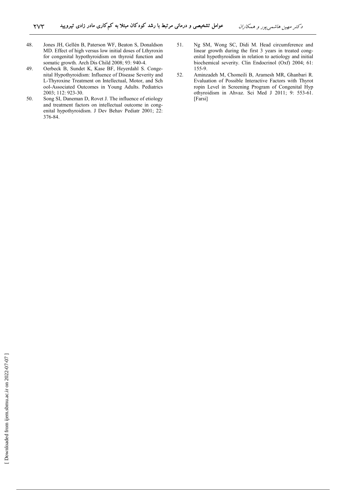- 48. Jones JH, Gellén B, Paterson WF, Beaton S, Donaldson MD. Effect of high versus low initial doses of Lthyroxin for congenital hypothyroidism on thyroid function and somatic growth. Arch Dis Child 2008; 93: 940-4.
- 49. Oerbeck B, Sundet K, Kase BF, Heyerdahl S. Congenital Hypothyroidism: Influence of Disease Severity and L-Thyroxine Treatment on Intellectual, Motor, and Sch ool-Associated Outcomes in Young Adults. Pediatrics 2003; 112: 923-30.
- 50. Song SI, Daneman D, Rovet J. The influence of etiology and treatment factors on intellectual outcome in congenital hypothyroidism. J Dev Behav Pediatr 2001; 22: 376-84.
- 51. Ng SM, Wong SC, Didi M. Head circumference and linear growth during the first 3 years in treated congenital hypothyroidism in relation to aetiology and initial biochemical severity. Clin Endocrinol (Oxf) 2004; 61: 155-9.
- 52. Aminzadeh M, Chomeili B, Aramesh MR, Ghanbari R. Evaluation of Possible Interactive Factors with Thyrot ropin Level in Screening Program of Congenital Hyp othyroidism in Ahvaz. Sci Med J 2011; 9: 553-61. [Farsi]